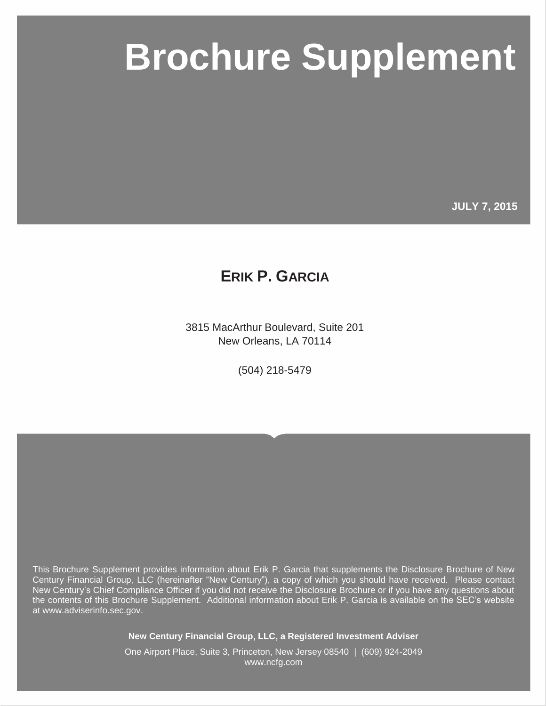# **New Centure Supplement**

**JULY 7, 2015**

# **ERIK P. GARCIA**

3815 MacArthur Boulevard, Suite 201 New Orleans, LA 70114

(504) 218-5479

This Brochure Supplement provides information about Erik P. Garcia that supplements the Disclosure Brochure of New Century Financial Group, LLC (hereinafter "New Century"), a copy of which you should have received. Please contact New Century's Chief Compliance Officer if you did not receive the Disclosure Brochure or if you have any questions about the contents of this Brochure Supplement. Additional information about Erik P. Garcia is available on the SEC's website at www.adviserinfo.sec.gov.

**New Century Financial Group, LLC, a Registered Investment Adviser**

One Airport Place, Suite 3, Princeton, New Jersey 08540 | (609) 924-2049 www.ncfg.com

Page i © MarketCounsel 2015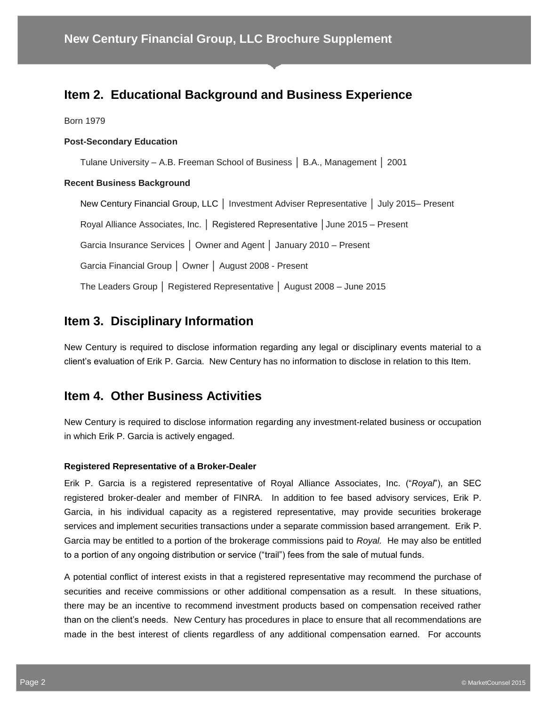# **Item 2. Educational Background and Business Experience**

Born 1979

#### **Post-Secondary Education**

Tulane University – A.B. Freeman School of Business │ B.A., Management │ 2001

#### **Recent Business Background**

New Century Financial Group, LLC │ Investment Adviser Representative │ July 2015– Present Royal Alliance Associates, Inc. │ Registered Representative │June 2015 – Present Garcia Insurance Services │ Owner and Agent │ January 2010 – Present Garcia Financial Group │ Owner │ August 2008 - Present The Leaders Group │ Registered Representative │ August 2008 – June 2015

# **Item 3. Disciplinary Information**

New Century is required to disclose information regarding any legal or disciplinary events material to a client's evaluation of Erik P. Garcia. New Century has no information to disclose in relation to this Item.

#### **Item 4. Other Business Activities**

New Century is required to disclose information regarding any investment-related business or occupation in which Erik P. Garcia is actively engaged.

#### **Registered Representative of a Broker-Dealer**

Erik P. Garcia is a registered representative of Royal Alliance Associates, Inc. ("*Royal*"), an SEC registered broker-dealer and member of FINRA. In addition to fee based advisory services, Erik P. Garcia, in his individual capacity as a registered representative, may provide securities brokerage services and implement securities transactions under a separate commission based arrangement. Erik P. Garcia may be entitled to a portion of the brokerage commissions paid to *Royal.* He may also be entitled to a portion of any ongoing distribution or service ("trail") fees from the sale of mutual funds.

A potential conflict of interest exists in that a registered representative may recommend the purchase of securities and receive commissions or other additional compensation as a result. In these situations, there may be an incentive to recommend investment products based on compensation received rather than on the client's needs. New Century has procedures in place to ensure that all recommendations are made in the best interest of clients regardless of any additional compensation earned. For accounts